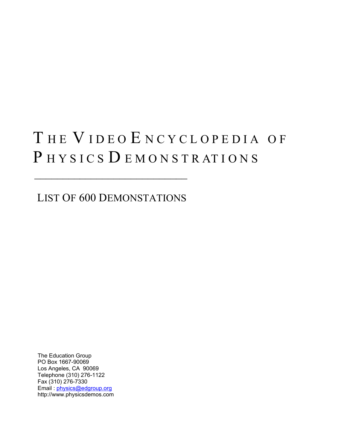# THE VIDEO ENCYCLOPEDIA OF PHYSICS DEMONSTRATIONS

LIST OF 600 DEMONSTATIONS

 $\mathcal{L}=\frac{1}{2}$  , where  $\mathcal{L}=\frac{1}{2}$  , where  $\mathcal{L}=\frac{1}{2}$ 

 The Education Group PO Box 1667-90069 Los Angeles, CA 90069 Telephone (310) 276-1122 Fax (310) 276-7330 Email : [physics@edgroup.org](mailto:physics@edgroup.org) http://www.physicsdemos.com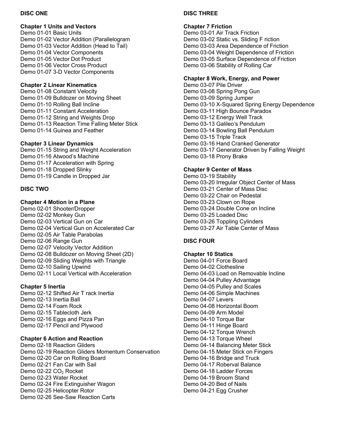## **DISC ONE**

#### **Chapter 1 Units and Vectors**

Demo 01-01 Basic Units Demo 01-02 Vector Addition (Parallelogram Demo 01-03 Vector Addition (Head to Tail) Demo 01-04 Vector Components Demo 01-05 Vector Dot Product Demo 01-06 Vector Cross Product Demo 01-07 3-D Vector Components

## **Chapter 2 Linear Kinematics**

Demo 01-08 Constant Velocity Demo 01-09 Bulldozer on Moving Sheet Demo 01-10 Rolling Ball Incline Demo 01-11 Constant Acceleration Demo 01-12 String and Weights Drop Demo 01-13 Reaction Time Falling Meter Stick Demo 01-14 Guinea and Feather

## **Chapter 3 Linear Dynamics**

Demo 01-15 String and Weight Acceleration Demo 01-16 Atwood's Machine Demo 01-17 Acceleration with Spring Demo 01-18 Dropped Slinky Demo 01-19 Candle in Dropped Jar

## **DISC TWO**

## **Chapter 4 Motion in a Plane**

Demo 02-01 Shooter/Dropper Demo 02-02 Monkey Gun Demo 02-03 Vertical Gun on Car Demo 02-04 Vertical Gun on Accelerated Car Demo 02-05 Air Table Parabolas Demo 02-06 Range Gun Demo 02-07 Velocity Vector Addition Demo 02-08 Bulldozer on Moving Sheet (2D) Demo 02-09 Sliding Weights with Triangle Demo 02-10 Sailing Upwind Demo 02-11 Local Vertical with Acceleration

## **Chapter 5 Inertia**

Demo 02-12 Shifted Air T rack Inertia Demo 02-13 Inertia Ball Demo 02-14 Foam Rock Demo 02-15 Tablecloth Jerk Demo 02-16 Eggs and Pizza Pan Demo 02-17 Pencil and Plywood

#### **Chapter 6 Action and Reaction**

Demo 02-18 Reaction Gliders Demo 02-19 Reaction Gliders Momentum Conservation Demo 02-20 Car on Rolling Board Demo 02-21 Fan Car with Sail Demo 02-22 CO<sub>2</sub> Rocket Demo 02-23 Water Rocket Demo 02-24 Fire Extinguisher Wagon Demo 02-25 Helicopter Rotor Demo 02-26 See-Saw Reaction Carts

## **DISC THREE**

## **Chapter 7 Friction**

Demo 03-01 Air Track Friction Demo 03-02 Static vs. Sliding F riction Demo 03-03 Area Dependence of Friction Demo 03-04 Weight Dependence of Friction Demo 03-05 Surface Dependence of Friction Demo 03-06 Stability of Rolling Car

#### **Chapter 8 Work, Energy, and Power**

Demo 03-07 Pile Driver Demo 03-08 Spring Pong Gun Demo 03-09 Spring Jumper Demo 03-10 X-Squared Spring Energy Dependence Demo 03-11 High Bounce Paradox Demo 03-12 Energy Well Track Demo 03-13 Galileo's Pendulum Demo 03-14 Bowling Ball Pendulum Demo 03-15 Triple Track Demo 03-16 Hand Cranked Generator Demo 03-17 Generator Driven by Falling Weight Demo 03-18 Prony Brake

#### **Chapter 9 Center of Mass**

Demo 03-19 Stability Demo 03-20 Irregular Object Center of Mass Demo 03-21 Center of Mass Disc Demo 03-22 Chair on Pedestal Demo 03-23 Clown on Rope Demo 03-24 Double Cone on Incline Demo 03-25 Loaded Disc Demo 03-26 Toppling Cylinders Demo 03-27 Air Table Center of Mass

## **DISC FOUR**

**Chapter 10 Statics**  Demo 04-01 Force Board Demo 04-02 Clothesline Demo 04-03 Load on Removable Incline Demo 04-04 Pulley Advantage Demo 04-05 Pulley and Scales Demo 04-06 Simple Machines Demo 04-07 Levers Demo 04-08 Horizontal Boom Demo 04-09 Arm Model Demo 04-10 Torque Bar Demo 04-11 Hinge Board Demo 04-12 Torque Wrench Demo 04-13 Torque Wheel Demo 04-14 Balancing Meter Stick Demo 04-15 Meter Stick on Fingers Demo 04-16 Bridge and Truck Demo 04-17 Roberval Balance Demo 04-18 Ladder Forces Demo 04-19 Broom Stand Demo 04-20 Bed of Nails Demo 04-21 Egg Crusher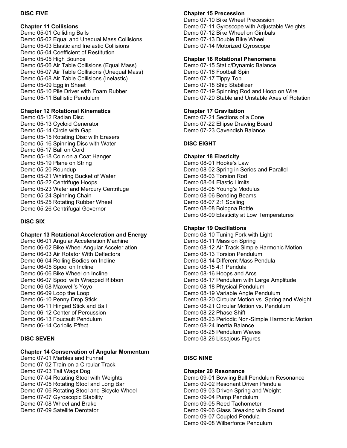## **DISC FIVE**

**Chapter 11 Collisions**  Demo 05-01 Colliding Balls Demo 05-02 Equal and Unequal Mass Collisions Demo 05-03 Elastic and Inelastic Collisions Demo 05-04 Coefficient of Restitution Demo 05-05 High Bounce Demo 05-06 Air Table Collisions (Equal Mass) Demo 05-07 Air Table Collisions (Unequal Mass) Demo 05-08 Air Table Collisions (Inelastic) Demo 05-09 Egg in Sheet Demo 05-10 Pile Driver with Foam Rubber Demo 05-11 Ballistic Pendulum

## **Chapter 12 Rotational Kinematics**

Demo 05-12 Radian Disc Demo 05-13 Cycloid Generator Demo 05-14 Circle with Gap Demo 05-15 Rotating Disc with Erasers Demo 05-16 Spinning Disc with Water Demo 05-17 Ball on Cord Demo 05-18 Coin on a Coat Hanger Demo 05-19 Plane on String Demo 05-20 Roundup Demo 05-21 Whirling Bucket of Water Demo 05-22 Centrifuge Hoops Demo 05-23 Water and Mercury Centrifuge Demo 05-24 Spinning Chain Demo 05-25 Rotating Rubber Wheel Demo 05-26 Centrifugal Governor

## **DISC SIX**

#### **Chapter 13 Rotational Acceleration and Energy**

Demo 06-01 Angular Acceleration Machine Demo 06-02 Bike Wheel Angular Acceler ation Demo 06-03 Air Rotator With Deflectors Demo 06-04 Rolling Bodies on Incline Demo 06-05 Spool on Incline Demo 06-06 Bike Wheel on Incline Demo 06-07 Spool with Wrapped Ribbon Demo 06-08 Maxwell's Yoyo Demo 06-09 Loop the Loop Demo 06-10 Penny Drop Stick Demo 06-11 Hinged Stick and Ball Demo 06-12 Center of Percussion Demo 06-13 Foucault Pendulum Demo 06-14 Coriolis Effect

#### **DISC SEVEN**

# **Chapter 14 Conservation of Angular Momentum**

Demo 07-01 Marbles and Funnel Demo 07-02 Train on a Circular Track Demo 07-03 Tail Wags Dog Demo 07-04 Rotating Stool with Weights Demo 07-05 Rotating Stool and Long Bar Demo 07-06 Rotating Stool and Bicycle Wheel Demo 07-07 Gyroscopic Stability Demo 07-08 Wheel and Brake Demo 07-09 Satellite Derotator

#### **Chapter 15 Precession**

Demo 07-10 Bike Wheel Precession Demo 07-11 Gyroscope with Adjustable Weights Demo 07-12 Bike Wheel on Gimbals Demo 07-13 Double Bike Wheel Demo 07-14 Motorized Gyroscope

#### **Chapter 16 Rotational Phenomena**

Demo 07-15 Static/Dynamic Balance Demo 07-16 Football Spin Demo 07-17 Tippy Top Demo 07-18 Ship Stabilizer Demo 07-19 Spinning Rod and Hoop on Wire Demo 07-20 Stable and Unstable Axes of Rotation

## **Chapter 17 Gravitation**

Demo 07-21 Sections of a Cone Demo 07-22 Ellipse Drawing Board Demo 07-23 Cavendish Balance

## **DISC EIGHT**

#### **Chapter 18 Elasticity**

Demo 08-01 Hooke's Law Demo 08-02 Spring in Series and Parallel Demo 08-03 Torsion Rod Demo 08-04 Elastic Limits Demo 08-05 Young's Modulus Demo 08-06 Bending Beams Demo 08-07 2:1 Scaling Demo 08-08 Bologna Bottle Demo 08-09 Elasticity at Low Temperatures

#### **Chapter 19 Oscillations**

Demo 08-10 Tuning Fork with Light Demo 08-11 Mass on Spring Demo 08-12 Air Track Simple Harmonic Motion Demo 08-13 Torsion Pendulum Demo 08-14 Different Mass Pendula Demo 08-15 4:1 Pendula Demo 08-16 Hoops and Arcs Demo 08-17 Pendulum with Large Amplitude Demo 08-18 Physical Pendulum Demo 08-19 Variable Angle Pendulum Demo 08-20 Circular Motion vs. Spring and Weight Demo 08-21 Circular Motion vs. Pendulum Demo 08-22 Phase Shift Demo 08-23 Periodic Non-Simple Harmonic Motion Demo 08-24 Inertia Balance Demo 08-25 Pendulum Waves Demo 08-26 Lissajous Figures

## **DISC NINE**

# **Chapter 20 Resonance**

Demo 09-01 Bowling Ball Pendulum Resonance Demo 09-02 Resonant Driven Pendula Demo 09-03 Driven Spring and Weight Demo 09-04 Pump Pendulum Demo 09-05 Reed Tachometer Demo 09-06 Glass Breaking with Sound Demo 09-07 Coupled Pendula Demo 09-08 Wilberforce Pendulum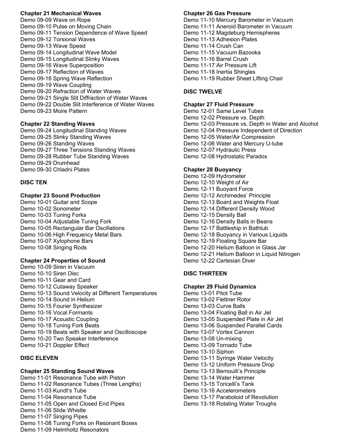#### **Chapter 21 Mechanical Waves**

Demo 09-09 Wave on Rope Demo 09-10 Pulse on Moving Chain Demo 09-11 Tension Dependence of Wave Speed Demo 09-12 Torsional Waves Demo 09-13 Wave Speed Demo 09-14 Longitudinal Wave Model Demo 09-15 Longitudinal Slinky Waves Demo 09-16 Wave Superposition Demo 09-17 Reflection of Waves Demo 09-18 Spring Wave Reflection Demo 09-19 Wave Coupling Demo 09-20 Refraction of Water Waves Demo 09-21 Single Slit Diffraction of Water Waves Demo 09-22 Double Slit Interference of Water Waves Demo 09-23 Moire Pattern

#### **Chapter 22 Standing Waves**

Demo 09-24 Longitudinal Standing Waves Demo 09-25 Slinky Standing Waves Demo 09-26 Standing Waves Demo 09-27 Three Tensions Standing Waves Demo 09-28 Rubber Tube Standing Waves Demo 09-29 Drumhead Demo 09-30 Chladni Plates

## **DISC TEN**

## **Chapter 23 Sound Production**

Demo 10-01 Guitar and Scope Demo 10-02 Sonometer Demo 10-03 Tuning Forks Demo 10-04 Adjustable Tuning Fork Demo 10-05 Rectangular Bar Oscillations Demo 10-06 High Frequency Metal Bars Demo 10-07 Xylophone Bars Demo 10-08 Singing Rods

#### **Chapter 24 Properties of Sound**

Demo 10-09 Siren in Vacuum Demo 10-10 Siren Disc Demo 10-11 Gear and Card Demo 10-12 Cutaway Speaker Demo 10-13 Sound Velocity at Different Temperatures Demo 10-14 Sound in Helium Demo 10-15 Fourier Synthesizer Demo 10-16 Vocal Formants Demo 10-17 Acoustic Coupling Demo 10-18 Tuning Fork Beats Demo 10-19 Beats with Speaker and Oscilloscope Demo 10-20 Two Speaker Interference Demo 10-21 Doppler Effect

## **DISC ELEVEN**

# **Chapter 25 Standing Sound Waves**

Demo 11-01 Resonance Tube with Piston Demo 11-02 Resonance Tubes (Three Lengths) Demo 11-03 Kundt's Tube Demo 11-04 Resonance Tube Demo 11-05 Open and Closed End Pipes Demo 11-06 Slide Whistle Demo 11-07 Singing Pipes Demo 11-08 Tuning Forks on Resonant Boxes Demo 11-09 Helmholtz Resonators

#### **Chapter 26 Gas Pressure**

Demo 11-10 Mercury Barometer in Vacuum Demo 11-11 Aneroid Barometer in Vacuum Demo 11-12 Magdeburg Hemispheres Demo 11-13 Adhesion Plates Demo 11-14 Crush Can Demo 11-15 Vacuum Bazooka Demo 11-16 Barrel Crush Demo 11-17 Air Pressure Lift Demo 11-18 Inertia Shingles Demo 11-19 Rubber Sheet Lifting Chair

## **DISC TWELVE**

## **Chapter 27 Fluid Pressure**

Demo 12-01 Same Level Tubes Demo 12-02 Pressure vs. Depth Demo 12-03 Pressure vs. Depth in Water and Alcohol Demo 12-04 Pressure Independent of Direction Demo 12-05 Water/Air Compression Demo 12-06 Water and Mercury U-tube Demo 12-07 Hydraulic Press Demo 12-08 Hydrostatic Paradox

## **Chapter 28 Buoyancy**

Demo 12-09 Hydrometer Demo 12-10 Weight of Air Demo 12-11 Buoyant Force Demo 12-12 Archimedes' Principle Demo 12-13 Board and Weights Float Demo 12-14 Different Density Wood Demo 12-15 Density Ball Demo 12-16 Density Balls in Beans Demo 12-17 Battleship in Bathtub Demo 12-18 Buoyancy in Various Liquids Demo 12-19 Floating Square Bar Demo 12-20 Helium Balloon in Glass Jar Demo 12-21 Helium Balloon in Liquid Nitrogen Demo 12-22 Cartesian Diver

## **DISC THIRTEEN**

#### **Chapter 29 Fluid Dynamics**

Demo 13-01 Pitot Tube Demo 13-02 Flettner Rotor Demo 13-03 Curve Balls Demo 13-04 Floating Ball in Air Jet Demo 13-05 Suspended Plate in Air Jet Demo 13-06 Suspended Parallel Cards Demo 13-07 Vortex Cannon Demo 13-08 Un-mixing Demo 13-09 Tornado Tube Demo 13-10 Siphon Demo 13-11 Syringe Water Velocity Demo 13-12 Uniform Pressure Drop Demo 13-13 Bernoulli's Principle Demo 13-14 Water Hammer Demo 13-15 Toricelli's Tank Demo 13-16 Accelerometers Demo 13-17 Paraboloid of Revolution Demo 13-18 Rotating Water Troughs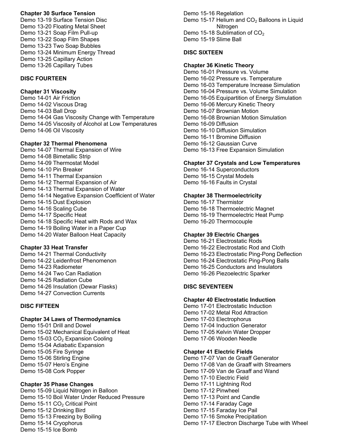## **Chapter 30 Surface Tension**

Demo 13-19 Surface Tension Disc Demo 13-20 Floating Metal Sheet Demo 13-21 Soap Film Pull-up Demo 13-22 Soap Film Shapes Demo 13-23 Two Soap Bubbles Demo 13-24 Minimum Energy Thread Demo 13-25 Capillary Action Demo 13-26 Capillary Tubes

## **DISC FOURTEEN**

# **Chapter 31 Viscosity**

Demo 14-01 Air Friction Demo 14-02 Viscous Drag Demo 14-03 Ball Drop Demo 14-04 Gas Viscosity Change with Temperature Demo 14-05 Viscosity of Alcohol at Low Temperatures Demo 14-06 Oil Viscosity

#### **Chapter 32 Thermal Phenomena**

Demo 14-07 Thermal Expansion of Wire Demo 14-08 Bimetallic Strip Demo 14-09 Thermostat Model Demo 14-10 Pin Breaker Demo 14-11 Thermal Expansion Demo 14-12 Thermal Expansion of Air Demo 14-13 Thermal Expansion of Water Demo 14-14 Negative Expansion Coefficient of Water Demo 14-15 Dust Explosion Demo 14-16 Scaling Cube Demo 14-17 Specific Heat Demo 14-18 Specific Heat with Rods and Wax Demo 14-19 Boiling Water in a Paper Cup Demo 14-20 Water Balloon Heat Capacity

#### **Chapter 33 Heat Transfer**

Demo 14-21 Thermal Conductivity Demo 14-22 Leidenfrost Phenomenon Demo 14-23 Radiometer Demo 14-24 Two Can Radiation Demo 14-25 Radiation Cube Demo 14-26 Insulation (Dewar Flasks) Demo 14-27 Convection Currents

#### **DISC FIFTEEN**

#### **Chapter 34 Laws of Thermodynamics**

Demo 15-01 Drill and Dowel Demo 15-02 Mechanical Equivalent of Heat Demo 15-03  $CO<sub>2</sub>$  Expansion Cooling Demo 15-04 Adiabatic Expansion Demo 15-05 Fire Syringe Demo 15-06 Stirling Engine Demo 15-07 Hero's Engine Demo 15-08 Cork Popper

#### **Chapter 35 Phase Changes**

Demo 15-09 Liquid Nitrogen in Balloon Demo 15-10 Boil Water Under Reduced Pressure Demo 15-11 CO<sub>2</sub> Critical Point Demo 15-12 Drinking Bird Demo 15-13 Freezing by Boiling Demo 15-14 Cryophorus Demo 15-15 Ice Bomb

Demo 15-16 Regelation Demo 15-17 Helium and  $CO<sub>2</sub>$  Balloons in Liquid **Nitrogen** Demo 15-18 Sublimation of  $CO<sub>2</sub>$ Demo 15-19 Slime Ball

## **DISC SIXTEEN**

#### **Chapter 36 Kinetic Theory**

Demo 16-01 Pressure vs. Volume Demo 16-02 Pressure vs. Temperature Demo 16-03 Temperature Increase Simulation Demo 16-04 Pressure vs. Volume Simulation Demo 16-05 Equipartition of Energy Simulation Demo 16-06 Mercury Kinetic Theory Demo 16-07 Brownian Motion Demo 16-08 Brownian Motion Simulation Demo 16-09 Diffusion Demo 16-10 Diffusion Simulation Demo 16-11 Bromine Diffusion Demo 16-12 Gaussian Curve Demo 16-13 Free Expansion Simulation

## **Chapter 37 Crystals and Low Temperatures**

Demo 16-14 Superconductors Demo 16-15 Crystal Models Demo 16-16 Faults in Crystal

#### **Chapter 38 Thermoelectricity**

Demo 16-17 Thermistor Demo 16-18 Thermoelectric Magnet Demo 16-19 Thermoelectric Heat Pump Demo 16-20 Thermocouple

#### **Chapter 39 Electric Charges**

Demo 16-21 Electrostatic Rods Demo 16-22 Electrostatic Rod and Cloth Demo 16-23 Electrostatic Ping-Pong Deflection Demo 16-24 Electrostatic Ping-Pong Balls Demo 16-25 Conductors and Insulators Demo 16-26 Piezoelectric Sparker

#### **DISC SEVENTEEN**

#### **Chapter 40 Electrostatic Induction**

Demo 17-01 Electrostatic Induction Demo 17-02 Metal Rod Attraction Demo 17-03 Electrophorus Demo 17-04 Induction Generator Demo 17-05 Kelvin Water Dropper Demo 17-06 Wooden Needle

#### **Chapter 41 Electric Fields**

Demo 17-07 Van de Graaff Generator Demo 17-08 Van de Graaff with Streamers Demo 17-09 Van de Graaff and Wand Demo 17-10 Electric Field Demo 17-11 Lightning Rod Demo 17-12 Pinwheel Demo 17-13 Point and Candle Demo 17-14 Faraday Cage Demo 17-15 Faraday Ice Pail Demo 17-16 Smoke Precipitation Demo 17-17 Electron Discharge Tube with Wheel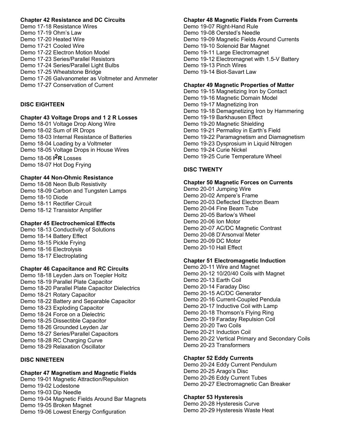## **Chapter 42 Resistance and DC Circuits**

Demo 17-18 Resistance Wires Demo 17-19 Ohm's Law Demo 17-20 Heated Wire Demo 17-21 Cooled Wire Demo 17-22 Electron Motion Model Demo 17-23 Series/Parallel Resistors Demo 17-24 Series/Parallel Light Bulbs Demo 17-25 Wheatstone Bridge Demo 17-26 Galvanometer as Voltmeter and Ammeter Demo 17-27 Conservation of Current

## **DISC EIGHTEEN**

#### **Chapter 43 Voltage Drops and 1 2 R Losses**

Demo 18-01 Voltage Drop Along Wire Demo 18-02 Sum of IR Drops Demo 18-03 Internal Resistance of Batteries Demo 18-04 Loading by a Voltmeter Demo 18-05 Voltage Drops in House Wires Demo 18-06 **I 2R** Losses Demo 18-07 Hot Dog Frying

## **Chapter 44 Non-Ohmic Resistance**

Demo 18-08 Neon Bulb Resistivity Demo 18-09 Carbon and Tungsten Lamps Demo 18-10 Diode Demo 18-11 Rectifier Circuit Demo 18-12 Transistor Amplifier

#### **Chapter 45 Electrochemical Effects**

Demo 18-13 Conductivity of Solutions Demo 18-14 Battery Effect Demo 18-15 Pickle Frying Demo 18-16 Electrolysis Demo 18-17 Electroplating

## **Chapter 46 Capacitance and RC Circuits**

Demo 18-18 Leyden Jars on Toepler Holtz Demo 18-19 Parallel Plate Capacitor Demo 18-20 Parallel Plate Capacitor Dielectrics Demo 18-21 Rotary Capacitor Demo 18-22 Battery and Separable Capacitor Demo 18-23 Exploding Capacitor Demo 18-24 Force on a Dielectric Demo 18-25 Dissectible Capacitor Demo 18-26 Grounded Leyden Jar Demo 18-27 Series/Parallel Capacitors Demo 18-28 RC Charging Curve Demo 18-29 Relaxation Oscillator

## **DISC NINETEEN**

# **Chapter 47 Magnetism and Magnetic Fields**

Demo 19-01 Magnetic Attraction/Repulsion Demo 19-02 Lodestone Demo 19-03 Dip Needle Demo 19-04 Magnetic Fields Around Bar Magnets Demo 19-05 Broken Magnet Demo 19-06 Lowest Energy Configuration

# **Chapter 48 Magnetic Fields From Currents**

Demo 19-07 Right-Hand Rule Demo 19-08 Oersted's Needle Demo 19-09 Magnetic Fields Around Currents Demo 19-10 Solenoid Bar Magnet Demo 19-11 Large Electromagnet Demo 19-12 Electromagnet with 1.5-V Battery Demo 19-13 Pinch Wires Demo 19-14 Biot-Savart Law

# **Chapter 49 Magnetic Properties of Matter**

Demo 19-15 Magnetizing Iron by Contact Demo 19-16 Magnetic Domain Model Demo 19-17 Magnetizing Iron Demo 19-18 Demagnetizing Iron by Hammering Demo 19-19 Barkhausen Effect Demo 19-20 Magnetic Shielding Demo 19-21 Permalloy in Earth's Field Demo 19-22 Paramagnetism and Diamagnetism Demo 19-23 Dysprosium in Liquid Nitrogen Demo 19-24 Curie Nickel Demo 19-25 Curie Temperature Wheel

## **DISC TWENTY**

#### **Chapter 50 Magnetic Forces on Currents**

Demo 20-01 Jumping Wire Demo 20-02 Ampere's Frame Demo 20-03 Deflected Electron Beam Demo 20-04 Fine Beam Tube Demo 20-05 Barlow's Wheel Demo 20-06 Ion Motor Demo 20-07 AC/DC Magnetic Contrast Demo 20-08 D'Arsonval Meter Demo 20-09 DC Motor Demo 20-10 Hall Effect

## **Chapter 51 Electromagnetic Induction**

Demo 20-11 Wire and Magnet Demo 20-12 10/20/40 Coils with Magnet Demo 20-13 Earth Coil Demo 20-14 Faraday Disc Demo 20-15 AC/DC Generator Demo 20-16 Current-Coupled Pendula Demo 20-17 Inductive Coil with Lamp Demo 20-18 Thomson's Flying Ring Demo 20-19 Faraday Repulsion Coil Demo 20-20 Two Coils Demo 20-21 Induction Coil Demo 20-22 Vertical Primary and Secondary Coils Demo 20-23 Transformers

## **Chapter 52 Eddy Currents**

Demo 20-24 Eddy Current Pendulum Demo 20-25 Arago's Disc Demo 20-26 Eddy Current Tubes Demo 20-27 Electromagnetic Can Breaker

## **Chapter 53 Hysteresis**

Demo 20-28 Hysteresis Curve Demo 20-29 Hysteresis Waste Heat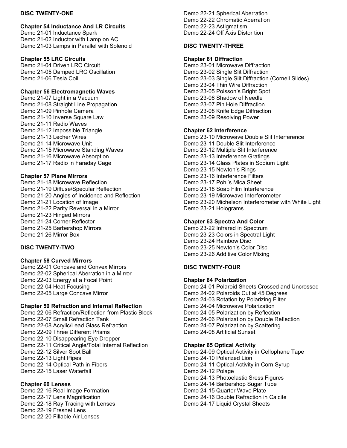## **DISC TWENTY-ONE**

## **Chapter 54 Inductance And LR Circuits**

Demo 21-01 Inductance Spark Demo 21-02 Inductor with Lamp on AC Demo 21-03 Lamps in Parallel with Solenoid

# **Chapter 55 LRC Circuits**

Demo 21-04 Driven LRC Circuit Demo 21-05 Damped LRC Oscillation Demo 21-06 Tesla Coil

# **Chapter 56 Electromagnetic Waves**

Demo 21-07 Light in a Vacuum Demo 21-08 Straight Line Propagation Demo 21-09 Pinhole Camera Demo 21-10 Inverse Square Law Demo 21-11 Radio Waves Demo 21-12 Impossible Triangle Demo 21-13 Lecher Wires Demo 21-14 Microwave Unit Demo 21-15 Microwave Standing Waves Demo 21-16 Microwave Absorption Demo 21-17 Radio in Faraday Cage

# **Chapter 57 Plane Mirrors**

Demo 21-18 Microwave Reflection Demo 21-19 Diffuse/Specular Reflection Demo 21-20 Angles of Incidence and Reflection Demo 21-21 Location of Image Demo 21-22 Parity Reversal in a Mirror Demo 21-23 Hinged Mirrors Demo 21-24 Corner Reflector Demo 21-25 Barbershop Mirrors Demo 21-26 Mirror Box

# **DISC TWENTY-TWO**

# **Chapter 58 Curved Mirrors**

Demo 22-01 Concave and Convex Mirrors Demo 22-02 Spherical Aberration in a Mirror Demo 22-03 Energy at a Focal Point Demo 22-04 Heat Focusing Demo 22-05 Large Concave Mirror

# **Chapter 59 Refraction and Internal Reflection**

Demo 22-06 Refraction/Reflection from Plastic Block Demo 22-07 Small Refraction Tank Demo 22-08 Acrylic/Lead Glass Refraction Demo 22-09 Three Different Prisms Demo 22-10 Disappearing Eye Dropper Demo 22-11 Critical Angle/Total Internal Reflection Demo 22-12 Silver Soot Ball Demo 22-13 Light Pipes Demo 22-14 Optical Path in Fibers Demo 22-15 Laser Waterfall

# **Chapter 60 Lenses**

Demo 22-16 Real Image Formation Demo 22-17 Lens Magnification Demo 22-18 Ray Tracing with Lenses Demo 22-19 Fresnel Lens Demo 22-20 Fillable Air Lenses

Demo 22-21 Spherical Aberration Demo 22-22 Chromatic Aberration Demo 22-23 Astigmatism Demo 22-24 Off Axis Distor tion

# **DISC TWENTY-THREE**

# **Chapter 61 Diffraction**

Demo 23-01 Microwave Diffraction Demo 23-02 Single Slit Diffraction Demo 23-03 Single Slit Diffraction (Cornell Slides) Demo 23-04 Thin Wire Diffraction Demo 23-05 Poisson's Bright Spot Demo 23-06 Shadow of Needle Demo 23-07 Pin Hole Diffraction Demo 23-08 Knife Edge Diffraction Demo 23-09 Resolving Power

# **Chapter 62 Interference**

Demo 23-10 Microwave Double Slit Interference Demo 23-11 Double Slit Interference Demo 23-12 Multiple Slit Interference Demo 23-13 Interference Gratings Demo 23-14 Glass Plates in Sodium Light Demo 23-15 Newton's Rings Demo 23-16 Interference Filters Demo 23-17 Pohl's Mica Sheet Demo 23-18 Soap Film Interference Demo 23-19 Microwave Interferometer Demo 23-20 Michelson Interferometer with White Light Demo 23-21 Holograms

## **Chapter 63 Spectra And Color**

Demo 23-22 Infrared in Spectrum Demo 23-23 Colors in Spectral Light Demo 23-24 Rainbow Disc Demo 23-25 Newton's Color Disc Demo 23-26 Additive Color Mixing

## **DISC TWENTY-FOUR**

## **Chapter 64 Polarization**

Demo 24-01 Polaroid Sheets Crossed and Uncrossed Demo 24-02 Polaroids Cut at 45 Degrees Demo 24-03 Rotation by Polarizing Filter Demo 24-04 Microwave Polarization Demo 24-05 Polarization by Reflection Demo 24-06 Polarization by Double Reflection Demo 24-07 Polarization by Scattering Demo 24-08 Artificial Sunset

## **Chapter 65 Optical Activity**

Demo 24-09 Optical Activity in Cellophane Tape Demo 24-10 Polarized Lion Demo 24-11 Optical Activity in Corn Syrup Demo 24-12 Polage Demo 24-13 Photoelastic Sress Figures Demo 24-14 Barbershop Sugar Tube Demo 24-15 Quarter Wave Plate Demo 24-16 Double Refraction in Calcite Demo 24-17 Liquid Crystal Sheets